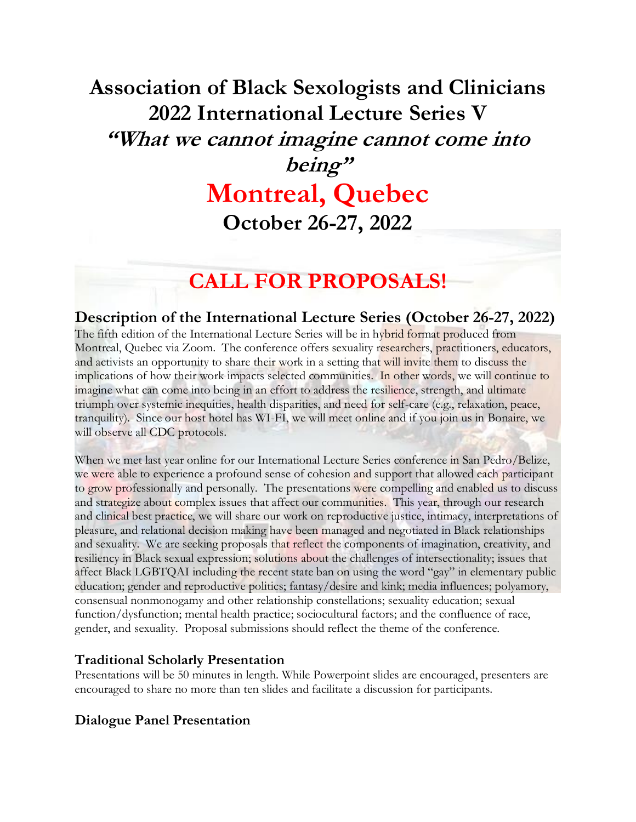# **Association of Black Sexologists and Clinicians 2022 International Lecture Series V "What we cannot imagine cannot come into being"**

## **Montreal, Quebec October 26-27, 2022**

### **CALL FOR PROPOSALS!**

#### **Description of the International Lecture Series (October 26-27, 2022)**

The fifth edition of the International Lecture Series will be in hybrid format produced from Montreal, Quebec via Zoom. The conference offers sexuality researchers, practitioners, educators, and activists an opportunity to share their work in a setting that will invite them to discuss the implications of how their work impacts selected communities. In other words, we will continue to imagine what can come into being in an effort to address the resilience, strength, and ultimate triumph over systemic inequities, health disparities, and need for self-care (e.g., relaxation, peace, tranquility). Since our host hotel has WI-FI, we will meet online and if you join us in Bonaire, we will observe all CDC protocols.

When we met last year online for our International Lecture Series conference in San Pedro/Belize, we were able to experience a profound sense of cohesion and support that allowed each participant to grow professionally and personally. The presentations were compelling and enabled us to discuss and strategize about complex issues that affect our communities. This year, through our research and clinical best practice, we will share our work on reproductive justice, intimacy, interpretations of pleasure, and relational decision making have been managed and negotiated in Black relationships and sexuality. We are seeking proposals that reflect the components of imagination, creativity, and resiliency in Black sexual expression; solutions about the challenges of intersectionality; issues that affect Black LGBTQAI including the recent state ban on using the word "gay" in elementary public education; gender and reproductive politics; fantasy/desire and kink; media influences; polyamory, consensual nonmonogamy and other relationship constellations; sexuality education; sexual function/dysfunction; mental health practice; sociocultural factors; and the confluence of race, gender, and sexuality. Proposal submissions should reflect the theme of the conference.

#### **Traditional Scholarly Presentation**

Presentations will be 50 minutes in length. While Powerpoint slides are encouraged, presenters are encouraged to share no more than ten slides and facilitate a discussion for participants.

#### **Dialogue Panel Presentation**